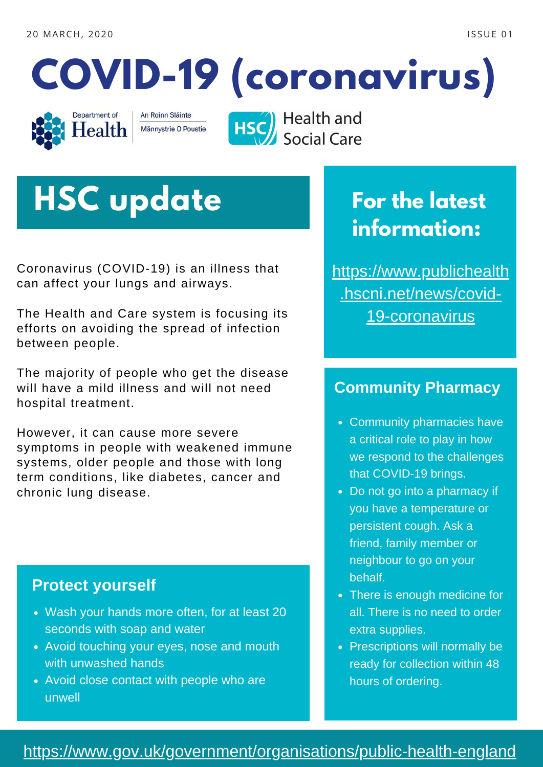



An Roinn Sláinte Männystrie O Poustie **HSC** Health and<br>Social Care

# **HSC update**

Coronavirus (COVID-19) is an illness that can affect your lungs and airways.

The Health and Care system is focusing its efforts on avoiding the spread of infection between people.

The majority of people who get the disease will have a mild illness and will not need hospital treatment.

However, it can cause more severe symptoms in people with weakened immune systems, older people and those with long term conditions, like diabetes, cancer and chronic lung disease.

#### **Protect yourself**

- Wash your hands more often, for at least 20 seconds with soap and water
- Avoid touching your eyes, nose and mouth with unwashed hands
- Avoid close contact with people who are unwell

### **For the latest information:**

[https://www.publichealth](https://www.publichealth.hscni.net/news/covid-19-coronavirus) .hscni.net/news/covid-19-coronavirus

### **Community Pharmacy**

- Community pharmacies have a critical role to play in how we respond to the challenges that COVID-19 brings.
- Do not go into a pharmacy if you have a temperature or persistent cough. Ask a friend, family member or neighbour to go on your behalf.
- There is enough medicine for all. There is no need to order extra supplies.
- Prescriptions will normally be ready for collection within 48 hours of ordering.

#### <https://www.gov.uk/government/organisations/public-health-england>